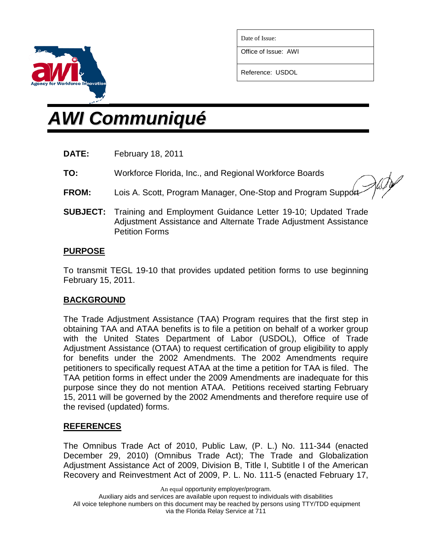

Date of Issue:

Office of Issue: AWI

Reference: USDOL

# *AWI Communiqué*

- **DATE:** February 18, 2011
- **TO:** Workforce Florida, Inc., and Regional Workforce Boards

**FROM:** Lois A. Scott, Program Manager, One-Stop and Program Support

**SUBJECT:** Training and Employment Guidance Letter 19-10; Updated Trade Adjustment Assistance and Alternate Trade Adjustment Assistance Petition Forms

#### **PURPOSE**

To transmit TEGL 19-10 that provides updated petition forms to use beginning February 15, 2011.

## **BACKGROUND**

The Trade Adjustment Assistance (TAA) Program requires that the first step in obtaining TAA and ATAA benefits is to file a petition on behalf of a worker group with the United States Department of Labor (USDOL), Office of Trade Adjustment Assistance (OTAA) to request certification of group eligibility to apply for benefits under the 2002 Amendments. The 2002 Amendments require petitioners to specifically request ATAA at the time a petition for TAA is filed. The TAA petition forms in effect under the 2009 Amendments are inadequate for this purpose since they do not mention ATAA. Petitions received starting February 15, 2011 will be governed by the 2002 Amendments and therefore require use of the revised (updated) forms.

#### **REFERENCES**

The Omnibus Trade Act of 2010, Public Law, (P. L.) No. 111-344 (enacted December 29, 2010) (Omnibus Trade Act); The Trade and Globalization Adjustment Assistance Act of 2009, Division B, Title I, Subtitle I of the American Recovery and Reinvestment Act of 2009, P. L. No. 111-5 (enacted February 17,

An equal opportunity employer/program.

Auxiliary aids and services are available upon request to individuals with disabilities All voice telephone numbers on this document may be reached by persons using TTY/TDD equipment via the Florida Relay Service at 711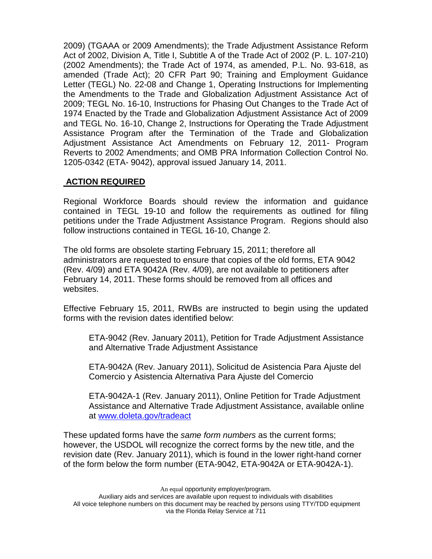2009) (TGAAA or 2009 Amendments); the Trade Adjustment Assistance Reform Act of 2002, Division A, Title I, Subtitle A of the Trade Act of 2002 (P. L. 107-210) (2002 Amendments); the Trade Act of 1974, as amended, P.L. No. 93-618, as amended (Trade Act); 20 CFR Part 90; Training and Employment Guidance Letter (TEGL) No. 22-08 and Change 1, Operating Instructions for Implementing the Amendments to the Trade and Globalization Adjustment Assistance Act of 2009; TEGL No. 16-10, Instructions for Phasing Out Changes to the Trade Act of 1974 Enacted by the Trade and Globalization Adjustment Assistance Act of 2009 and TEGL No. 16-10, Change 2, Instructions for Operating the Trade Adjustment Assistance Program after the Termination of the Trade and Globalization Adjustment Assistance Act Amendments on February 12, 2011- Program Reverts to 2002 Amendments; and OMB PRA Information Collection Control No. 1205-0342 (ETA- 9042), approval issued January 14, 2011.

## **ACTION REQUIRED**

Regional Workforce Boards should review the information and guidance contained in TEGL 19-10 and follow the requirements as outlined for filing petitions under the Trade Adjustment Assistance Program. Regions should also follow instructions contained in TEGL 16-10, Change 2.

The old forms are obsolete starting February 15, 2011; therefore all administrators are requested to ensure that copies of the old forms, ETA 9042 (Rev. 4/09) and ETA 9042A (Rev. 4/09), are not available to petitioners after February 14, 2011. These forms should be removed from all offices and websites.

Effective February 15, 2011, RWBs are instructed to begin using the updated forms with the revision dates identified below:

ETA-9042 (Rev. January 2011), Petition for Trade Adjustment Assistance and Alternative Trade Adjustment Assistance

ETA-9042A (Rev. January 2011), Solicitud de Asistencia Para Ajuste del Comercio y Asistencia Alternativa Para Ajuste del Comercio

ETA-9042A-1 (Rev. January 2011), Online Petition for Trade Adjustment Assistance and Alternative Trade Adjustment Assistance, available online at [www.doleta.gov/tradeact](http://www.doleta.gov/tradeact)

These updated forms have the *same form numbers* as the current forms; however, the USDOL will recognize the correct forms by the new title, and the revision date (Rev. January 2011), which is found in the lower right-hand corner of the form below the form number (ETA-9042, ETA-9042A or ETA-9042A-1).

An equal opportunity employer/program.